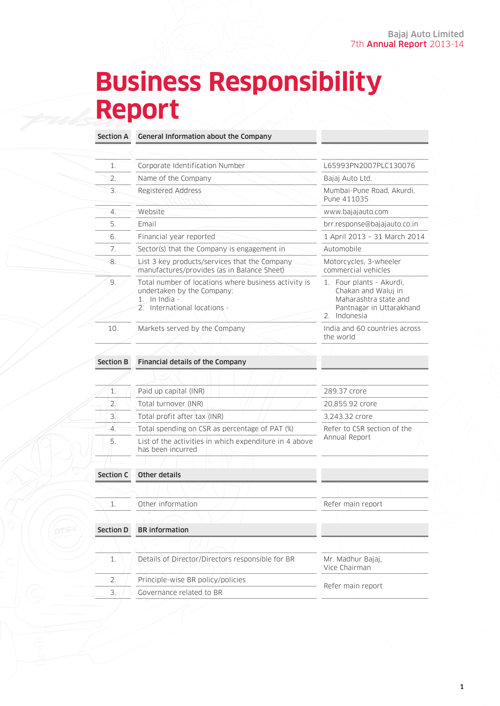# **Business Responsibility Report**

Section A General Information about the Company

| 1.               | Corporate Identification Number                                                                                                     | L65993PN2007PLC130076                                                                                                   |  |
|------------------|-------------------------------------------------------------------------------------------------------------------------------------|-------------------------------------------------------------------------------------------------------------------------|--|
| 2.               | Name of the Company                                                                                                                 | Bajaj Auto Ltd.                                                                                                         |  |
| 3.               | Registered Address                                                                                                                  | Mumbai-Pune Road, Akurdi,<br>Pune 411035                                                                                |  |
| $\overline{4}$ . | Website                                                                                                                             | www.bajajauto.com                                                                                                       |  |
| 5.               | Email                                                                                                                               | brr.response@bajajauto.co.in                                                                                            |  |
| 6.               | Financial year reported                                                                                                             | 1 April 2013 - 31 March 2014                                                                                            |  |
| 7.               | Sector(s) that the Company is engagement in                                                                                         | Automobile                                                                                                              |  |
| 8.               | List 3 key products/services that the Company<br>manufactures/provides (as in Balance Sheet)                                        | Motorcycles, 3-wheeler<br>commercial vehicles                                                                           |  |
| 9.               | Total number of locations where business activity is<br>undertaken by the Company:<br>1. In India -<br>2. International locations - | 1. Four plants - Akurdi,<br>Chakan and Waluj in<br>Maharashtra state and<br>Pantnagar in Uttarakhand<br>Indonesia<br>2. |  |
| 10.              | Markets served by the Company                                                                                                       | India and 60 countries across<br>the world                                                                              |  |
|                  |                                                                                                                                     |                                                                                                                         |  |
| <b>Section B</b> | Financial details of the Company                                                                                                    |                                                                                                                         |  |
|                  |                                                                                                                                     |                                                                                                                         |  |
| 1.               | Paid up capital (INR)                                                                                                               | 289.37 crore                                                                                                            |  |
| $\overline{2}$ . | Total turnover (INR)                                                                                                                | 20,855.92 crore                                                                                                         |  |
| 3.               | Total profit after tax (INR)                                                                                                        | 3.243.32 crore                                                                                                          |  |
| 4.               | Total spending on CSR as percentage of PAT (%)                                                                                      | Refer to CSR section of the                                                                                             |  |
| 5.               | List of the activities in which expenditure in 4 above<br>has been incurred                                                         | Annual Report                                                                                                           |  |

## Section  $C =$  Other details

|                  | Other information                                | Refer main report                  |  |
|------------------|--------------------------------------------------|------------------------------------|--|
|                  |                                                  |                                    |  |
| <b>Section D</b> | <b>BR</b> information                            |                                    |  |
|                  |                                                  |                                    |  |
|                  | Details of Director/Directors responsible for BR | Mr. Madhur Bajaj,<br>Vice Chairman |  |
|                  | Principle-wise BR policy/policies                | Refer main report                  |  |
| 3.               | Governance related to BR                         |                                    |  |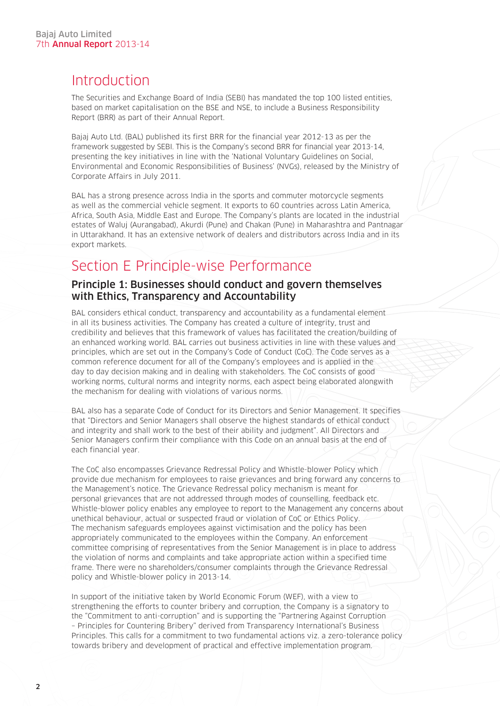# **Introduction**

The Securities and Exchange Board of India (SEBI) has mandated the top 100 listed entities, based on market capitalisation on the BSE and NSE, to include a Business Responsibility Report (BRR) as part of their Annual Report.

Bajaj Auto Ltd. (BAL) published its first BRR for the financial year 2012-13 as per the framework suggested by SEBI. This is the Company's second BRR for financial year 2013-14, presenting the key initiatives in line with the 'National Voluntary Guidelines on Social, Environmental and Economic Responsibilities of Business' (NVGs), released by the Ministry of Corporate Affairs in July 2011.

BAL has a strong presence across India in the sports and commuter motorcycle segments as well as the commercial vehicle segment. It exports to 60 countries across Latin America, Africa, South Asia, Middle East and Europe. The Company's plants are located in the industrial estates of Waluj (Aurangabad), Akurdi (Pune) and Chakan (Pune) in Maharashtra and Pantnagar in Uttarakhand. It has an extensive network of dealers and distributors across India and in its export markets.

# Section E Principle-wise Performance

#### Principle 1: Businesses should conduct and govern themselves with Ethics, Transparency and Accountability

BAL considers ethical conduct, transparency and accountability as a fundamental element in all its business activities. The Company has created a culture of integrity, trust and credibility and believes that this framework of values has facilitated the creation/building of an enhanced working world. BAL carries out business activities in line with these values and principles, which are set out in the Company's Code of Conduct (CoC). The Code serves as a common reference document for all of the Company's employees and is applied in the day to day decision making and in dealing with stakeholders. The CoC consists of good working norms, cultural norms and integrity norms, each aspect being elaborated alongwith the mechanism for dealing with violations of various norms.

BAL also has a separate Code of Conduct for its Directors and Senior Management. It specifies that "Directors and Senior Managers shall observe the highest standards of ethical conduct and integrity and shall work to the best of their ability and judgment". All Directors and Senior Managers confirm their compliance with this Code on an annual basis at the end of each financial year.

The CoC also encompasses Grievance Redressal Policy and Whistle-blower Policy which provide due mechanism for employees to raise grievances and bring forward any concerns to the Management's notice. The Grievance Redressal policy mechanism is meant for personal grievances that are not addressed through modes of counselling, feedback etc. Whistle-blower policy enables any employee to report to the Management any concerns about unethical behaviour, actual or suspected fraud or violation of CoC or Ethics Policy. The mechanism safeguards employees against victimisation and the policy has been appropriately communicated to the employees within the Company. An enforcement committee comprising of representatives from the Senior Management is in place to address the violation of norms and complaints and take appropriate action within a specified time frame. There were no shareholders/consumer complaints through the Grievance Redressal policy and Whistle-blower policy in 2013-14.

In support of the initiative taken by World Economic Forum (WEF), with a view to strengthening the efforts to counter bribery and corruption, the Company is a signatory to the "Commitment to anti-corruption" and is supporting the "Partnering Against Corruption – Principles for Countering Bribery" derived from Transparency International's Business Principles. This calls for a commitment to two fundamental actions viz. a zero-tolerance policy towards bribery and development of practical and effective implementation program.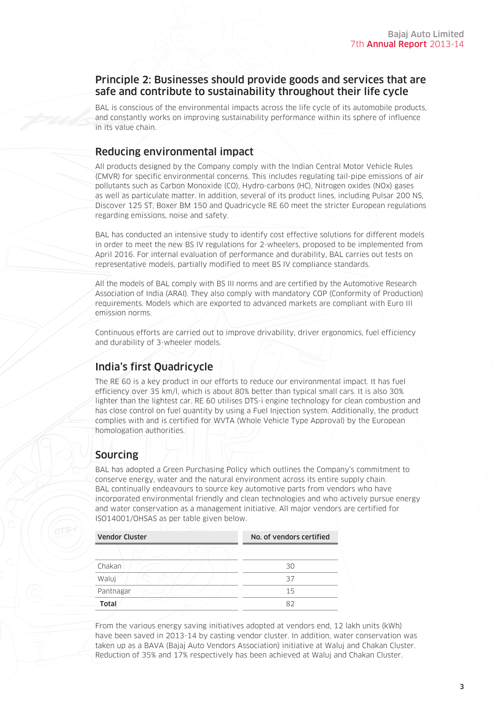#### Principle 2: Businesses should provide goods and services that are safe and contribute to sustainability throughout their life cycle

BAL is conscious of the environmental impacts across the life cycle of its automobile products, and constantly works on improving sustainability performance within its sphere of influence in its value chain.

### Reducing environmental impact

All products designed by the Company comply with the Indian Central Motor Vehicle Rules (CMVR) for specific environmental concerns. This includes regulating tail-pipe emissions of air pollutants such as Carbon Monoxide (CO), Hydro-carbons (HC), Nitrogen oxides (NOx) gases as well as particulate matter. In addition, several of its product lines, including Pulsar 200 NS, Discover 125 ST, Boxer BM 150 and Quadricycle RE 60 meet the stricter European regulations regarding emissions, noise and safety.

BAL has conducted an intensive study to identify cost effective solutions for different models in order to meet the new BS IV regulations for 2-wheelers, proposed to be implemented from April 2016. For internal evaluation of performance and durability, BAL carries out tests on representative models, partially modified to meet BS IV compliance standards.

All the models of BAL comply with BS III norms and are certified by the Automotive Research Association of India (ARAI). They also comply with mandatory COP (Conformity of Production) requirements. Models which are exported to advanced markets are compliant with Euro III emission norms.

Continuous efforts are carried out to improve drivability, driver ergonomics, fuel efficiency and durability of 3-wheeler models.

## India's first Quadricycle

The RE 60 is a key product in our efforts to reduce our environmental impact. It has fuel efficiency over 35 km/l, which is about 80% better than typical small cars. It is also 30% lighter than the lightest car. RE 60 utilises DTS-i engine technology for clean combustion and has close control on fuel quantity by using a Fuel Injection system. Additionally, the product complies with and is certified for WVTA (Whole Vehicle Type Approval) by the European homologation authorities.

# Sourcing

BAL has adopted a Green Purchasing Policy which outlines the Company's commitment to conserve energy, water and the natural environment across its entire supply chain. BAL continually endeavours to source key automotive parts from vendors who have incorporated environmental friendly and clean technologies and who actively pursue energy and water conservation as a management initiative. All major vendors are certified for ISO14001/OHSAS as per table given below.

| <b>Vendor Cluster</b> | No. of vendors certified |  |
|-----------------------|--------------------------|--|
|                       |                          |  |
| Chakan                | 30                       |  |
| Waluj                 | 37                       |  |
| Pantnagar             | 15                       |  |
| Total                 | 82                       |  |

From the various energy saving initiatives adopted at vendors end, 12 lakh units (kWh) have been saved in 2013-14 by casting vendor cluster. In addition, water conservation was taken up as a BAVA (Bajaj Auto Vendors Association) initiative at Waluj and Chakan Cluster. Reduction of 35% and 17% respectively has been achieved at Waluj and Chakan Cluster.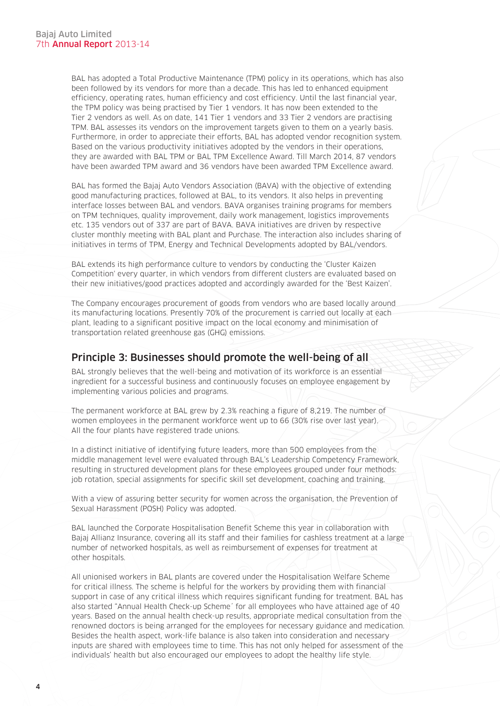BAL has adopted a Total Productive Maintenance (TPM) policy in its operations, which has also been followed by its vendors for more than a decade. This has led to enhanced equipment efficiency, operating rates, human efficiency and cost efficiency. Until the last financial year, the TPM policy was being practised by Tier 1 vendors. It has now been extended to the Tier 2 vendors as well. As on date, 141 Tier 1 vendors and 33 Tier 2 vendors are practising TPM. BAL assesses its vendors on the improvement targets given to them on a yearly basis. Furthermore, in order to appreciate their efforts, BAL has adopted vendor recognition system. Based on the various productivity initiatives adopted by the vendors in their operations, they are awarded with BAL TPM or BAL TPM Excellence Award. Till March 2014, 87 vendors have been awarded TPM award and 36 vendors have been awarded TPM Excellence award.

BAL has formed the Bajaj Auto Vendors Association (BAVA) with the objective of extending good manufacturing practices, followed at BAL, to its vendors. It also helps in preventing interface losses between BAL and vendors. BAVA organises training programs for members on TPM techniques, quality improvement, daily work management, logistics improvements etc. 135 vendors out of 337 are part of BAVA. BAVA initiatives are driven by respective cluster monthly meeting with BAL plant and Purchase. The interaction also includes sharing of initiatives in terms of TPM, Energy and Technical Developments adopted by BAL/vendors.

BAL extends its high performance culture to vendors by conducting the 'Cluster Kaizen Competition' every quarter, in which vendors from different clusters are evaluated based on their new initiatives/good practices adopted and accordingly awarded for the 'Best Kaizen'.

The Company encourages procurement of goods from vendors who are based locally around its manufacturing locations. Presently 70% of the procurement is carried out locally at each plant, leading to a significant positive impact on the local economy and minimisation of transportation related greenhouse gas (GHG) emissions.

#### Principle 3: Businesses should promote the well-being of all

BAL strongly believes that the well-being and motivation of its workforce is an essential ingredient for a successful business and continuously focuses on employee engagement by implementing various policies and programs.

The permanent workforce at BAL grew by 2.3% reaching a figure of 8,219. The number of women employees in the permanent workforce went up to 66 (30% rise over last year). All the four plants have registered trade unions.

In a distinct initiative of identifying future leaders, more than 500 employees from the middle management level were evaluated through BAL's Leadership Competency Framework, resulting in structured development plans for these employees grouped under four methods: job rotation, special assignments for specific skill set development, coaching and training.

With a view of assuring better security for women across the organisation, the Prevention of Sexual Harassment (POSH) Policy was adopted.

BAL launched the Corporate Hospitalisation Benefit Scheme this year in collaboration with Bajaj Allianz Insurance, covering all its staff and their families for cashless treatment at a large number of networked hospitals, as well as reimbursement of expenses for treatment at other hospitals.

All unionised workers in BAL plants are covered under the Hospitalisation Welfare Scheme for critical illness. The scheme is helpful for the workers by providing them with financial support in case of any critical illness which requires significant funding for treatment. BAL has also started "Annual Health Check-up Scheme´ for all employees who have attained age of 40 years. Based on the annual health check-up results, appropriate medical consultation from the renowned doctors is being arranged for the employees for necessary guidance and medication. Besides the health aspect, work-life balance is also taken into consideration and necessary inputs are shared with employees time to time. This has not only helped for assessment of the individuals' health but also encouraged our employees to adopt the healthy life style.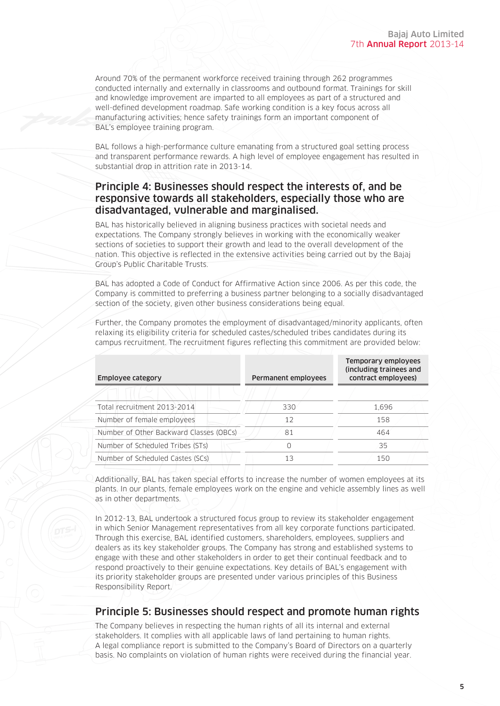Around 70% of the permanent workforce received training through 262 programmes conducted internally and externally in classrooms and outbound format. Trainings for skill and knowledge improvement are imparted to all employees as part of a structured and well-defined development roadmap. Safe working condition is a key focus across all manufacturing activities; hence safety trainings form an important component of BAL's employee training program.

BAL follows a high-performance culture emanating from a structured goal setting process and transparent performance rewards. A high level of employee engagement has resulted in substantial drop in attrition rate in 2013-14.

#### Principle 4: Businesses should respect the interests of, and be responsive towards all stakeholders, especially those who are disadvantaged, vulnerable and marginalised.

BAL has historically believed in aligning business practices with societal needs and expectations. The Company strongly believes in working with the economically weaker sections of societies to support their growth and lead to the overall development of the nation. This objective is reflected in the extensive activities being carried out by the Bajaj Group's Public Charitable Trusts.

BAL has adopted a Code of Conduct for Affirmative Action since 2006. As per this code, the Company is committed to preferring a business partner belonging to a socially disadvantaged section of the society, given other business considerations being equal.

| <b>Employee category</b>                | <b>Permanent employees</b> | Temporary employees<br>(including trainees and<br>contract employees) |
|-----------------------------------------|----------------------------|-----------------------------------------------------------------------|
|                                         |                            |                                                                       |
| Total recruitment 2013-2014             | 330                        | 1.696                                                                 |
| Number of female employees              | 12                         | 158                                                                   |
| Number of Other Backward Classes (OBCs) | 81                         | 464                                                                   |
| Number of Scheduled Tribes (STs)        |                            | 35                                                                    |
| Number of Scheduled Castes (SCs)        | 13                         | 150                                                                   |

Further, the Company promotes the employment of disadvantaged/minority applicants, often relaxing its eligibility criteria for scheduled castes/scheduled tribes candidates during its campus recruitment. The recruitment figures reflecting this commitment are provided below:

Additionally, BAL has taken special efforts to increase the number of women employees at its plants. In our plants, female employees work on the engine and vehicle assembly lines as well as in other departments.

In 2012-13, BAL undertook a structured focus group to review its stakeholder engagement in which Senior Management representatives from all key corporate functions participated. Through this exercise, BAL identified customers, shareholders, employees, suppliers and dealers as its key stakeholder groups. The Company has strong and established systems to engage with these and other stakeholders in order to get their continual feedback and to respond proactively to their genuine expectations. Key details of BAL's engagement with its priority stakeholder groups are presented under various principles of this Business Responsibility Report.

#### Principle 5: Businesses should respect and promote human rights

The Company believes in respecting the human rights of all its internal and external stakeholders. It complies with all applicable laws of land pertaining to human rights. A legal compliance report is submitted to the Company's Board of Directors on a quarterly basis. No complaints on violation of human rights were received during the financial year.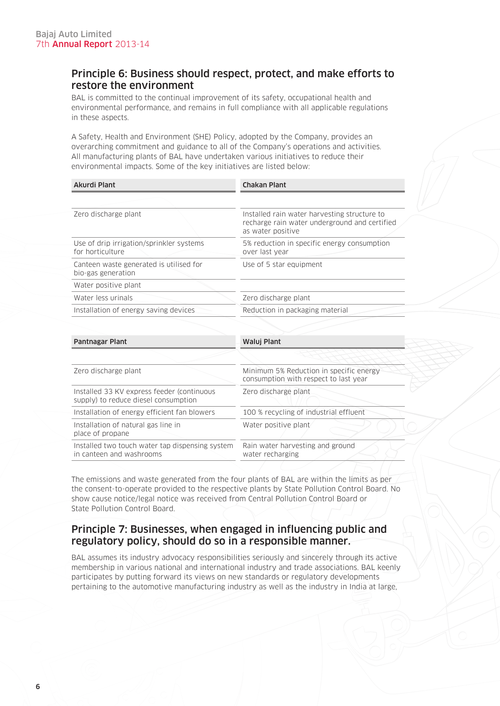#### Principle 6: Business should respect, protect, and make efforts to restore the environment

BAL is committed to the continual improvement of its safety, occupational health and environmental performance, and remains in full compliance with all applicable regulations in these aspects.

A Safety, Health and Environment (SHE) Policy, adopted by the Company, provides an overarching commitment and guidance to all of the Company's operations and activities. All manufacturing plants of BAL have undertaken various initiatives to reduce their environmental impacts. Some of the key initiatives are listed below:

| Akurdi Plant                                                  | <b>Chakan Plant</b>                                                                                                |  |
|---------------------------------------------------------------|--------------------------------------------------------------------------------------------------------------------|--|
|                                                               |                                                                                                                    |  |
| Zero discharge plant                                          | Installed rain water harvesting structure to<br>recharge rain water underground and certified<br>as water positive |  |
| Use of drip irrigation/sprinkler systems<br>for horticulture  | 5% reduction in specific energy consumption<br>over last year                                                      |  |
| Canteen waste generated is utilised for<br>bio-gas generation | Use of 5 star equipment                                                                                            |  |
| Water positive plant                                          |                                                                                                                    |  |
| Water less urinals                                            | Zero discharge plant                                                                                               |  |
| Installation of energy saving devices                         | Reduction in packaging material                                                                                    |  |
|                                                               |                                                                                                                    |  |
| <b>Pantnagar Plant</b>                                        | Waluj Plant                                                                                                        |  |
|                                                               |                                                                                                                    |  |

| Zero discharge plant                                                                | Minimum 5% Reduction in specific energy<br>consumption with respect to last year |
|-------------------------------------------------------------------------------------|----------------------------------------------------------------------------------|
| Installed 33 KV express feeder (continuous)<br>supply) to reduce diesel consumption | Zero discharge plant                                                             |
| Installation of energy efficient fan blowers                                        | 100 % recycling of industrial effluent                                           |
| Installation of natural gas line in<br>place of propane                             | Water positive plant                                                             |
| Installed two touch water tap dispensing system<br>in canteen and washrooms         | Rain water harvesting and ground<br>water recharging                             |
|                                                                                     |                                                                                  |

The emissions and waste generated from the four plants of BAL are within the limits as per the consent-to-operate provided to the respective plants by State Pollution Control Board. No show cause notice/legal notice was received from Central Pollution Control Board or State Pollution Control Board.

#### Principle 7: Businesses, when engaged in influencing public and regulatory policy, should do so in a responsible manner.

BAL assumes its industry advocacy responsibilities seriously and sincerely through its active membership in various national and international industry and trade associations. BAL keenly participates by putting forward its views on new standards or regulatory developments pertaining to the automotive manufacturing industry as well as the industry in India at large,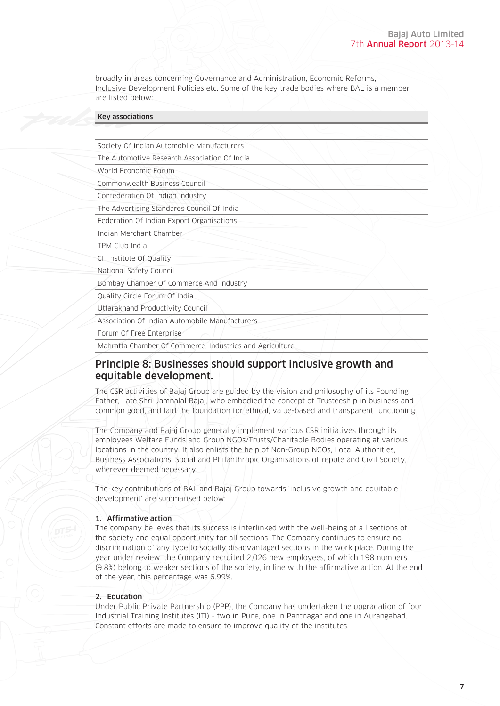broadly in areas concerning Governance and Administration, Economic Reforms, Inclusive Development Policies etc. Some of the key trade bodies where BAL is a member are listed below:

| <b>Key associations</b>                                  |  |
|----------------------------------------------------------|--|
|                                                          |  |
| Society Of Indian Automobile Manufacturers               |  |
| The Automotive Research Association Of India             |  |
| World Economic Forum                                     |  |
| Commonwealth Business Council                            |  |
| Confederation Of Indian Industry                         |  |
| The Advertising Standards Council Of India               |  |
| Federation Of Indian Export Organisations                |  |
| Indian Merchant Chamber                                  |  |
| TPM Club India                                           |  |
| CII Institute Of Quality                                 |  |
| National Safety Council                                  |  |
| Bombay Chamber Of Commerce And Industry                  |  |
| Quality Circle Forum Of India                            |  |
| Uttarakhand Productivity Council                         |  |
| Association Of Indian Automobile Manufacturers           |  |
| Forum Of Free Enterprise                                 |  |
| Mahratta Chamber Of Commerce, Industries and Agriculture |  |

#### Principle 8: Businesses should support inclusive growth and equitable development.

The CSR activities of Bajaj Group are guided by the vision and philosophy of its Founding Father, Late Shri Jamnalal Bajaj, who embodied the concept of Trusteeship in business and common good, and laid the foundation for ethical, value-based and transparent functioning.

The Company and Bajaj Group generally implement various CSR initiatives through its employees Welfare Funds and Group NGOs/Trusts/Charitable Bodies operating at various locations in the country. It also enlists the help of Non-Group NGOs, Local Authorities, Business Associations, Social and Philanthropic Organisations of repute and Civil Society, wherever deemed necessary.

The key contributions of BAL and Bajaj Group towards 'inclusive growth and equitable development' are summarised below:

#### 1. Affirmative action

The company believes that its success is interlinked with the well-being of all sections of the society and equal opportunity for all sections. The Company continues to ensure no discrimination of any type to socially disadvantaged sections in the work place. During the year under review, the Company recruited 2,026 new employees, of which 198 numbers (9.8%) belong to weaker sections of the society, in line with the affirmative action. At the end of the year, this percentage was 6.99%.

#### 2. Education

Under Public Private Partnership (PPP), the Company has undertaken the upgradation of four Industrial Training Institutes (ITI) - two in Pune, one in Pantnagar and one in Aurangabad. Constant efforts are made to ensure to improve quality of the institutes.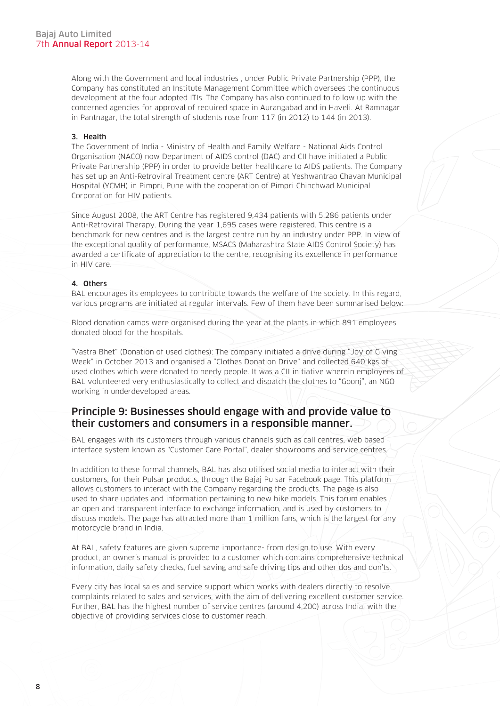Along with the Government and local industries , under Public Private Partnership (PPP), the Company has constituted an Institute Management Committee which oversees the continuous development at the four adopted ITIs. The Company has also continued to follow up with the concerned agencies for approval of required space in Aurangabad and in Haveli. At Ramnagar in Pantnagar, the total strength of students rose from 117 (in 2012) to 144 (in 2013).

#### 3. Health

The Government of India - Ministry of Health and Family Welfare - National Aids Control Organisation (NACO) now Department of AIDS control (DAC) and CII have initiated a Public Private Partnership (PPP) in order to provide better healthcare to AIDS patients. The Company has set up an Anti-Retroviral Treatment centre (ART Centre) at Yeshwantrao Chavan Municipal Hospital (YCMH) in Pimpri, Pune with the cooperation of Pimpri Chinchwad Municipal Corporation for HIV patients.

Since August 2008, the ART Centre has registered 9,434 patients with 5,286 patients under Anti-Retroviral Therapy. During the year 1,695 cases were registered. This centre is a benchmark for new centres and is the largest centre run by an industry under PPP. In view of the exceptional quality of performance, MSACS (Maharashtra State AIDS Control Society) has awarded a certificate of appreciation to the centre, recognising its excellence in performance in HIV care.

#### 4. Others

BAL encourages its employees to contribute towards the welfare of the society. In this regard, various programs are initiated at regular intervals. Few of them have been summarised below:

Blood donation camps were organised during the year at the plants in which 891 employees donated blood for the hospitals.

"Vastra Bhet" (Donation of used clothes): The company initiated a drive during "Joy of Giving Week" in October 2013 and organised a "Clothes Donation Drive" and collected 640 kgs of used clothes which were donated to needy people. It was a CII initiative wherein employees of BAL volunteered very enthusiastically to collect and dispatch the clothes to "Goonj", an NGO working in underdeveloped areas.

#### Principle 9: Businesses should engage with and provide value to their customers and consumers in a responsible manner.

BAL engages with its customers through various channels such as call centres, web based interface system known as "Customer Care Portal", dealer showrooms and service centres.

In addition to these formal channels, BAL has also utilised social media to interact with their customers, for their Pulsar products, through the Bajaj Pulsar Facebook page. This platform allows customers to interact with the Company regarding the products. The page is also used to share updates and information pertaining to new bike models. This forum enables an open and transparent interface to exchange information, and is used by customers to discuss models. The page has attracted more than 1 million fans, which is the largest for any motorcycle brand in India.

At BAL, safety features are given supreme importance- from design to use. With every product, an owner's manual is provided to a customer which contains comprehensive technical information, daily safety checks, fuel saving and safe driving tips and other dos and don'ts.

Every city has local sales and service support which works with dealers directly to resolve complaints related to sales and services, with the aim of delivering excellent customer service. Further, BAL has the highest number of service centres (around 4,200) across India, with the objective of providing services close to customer reach.